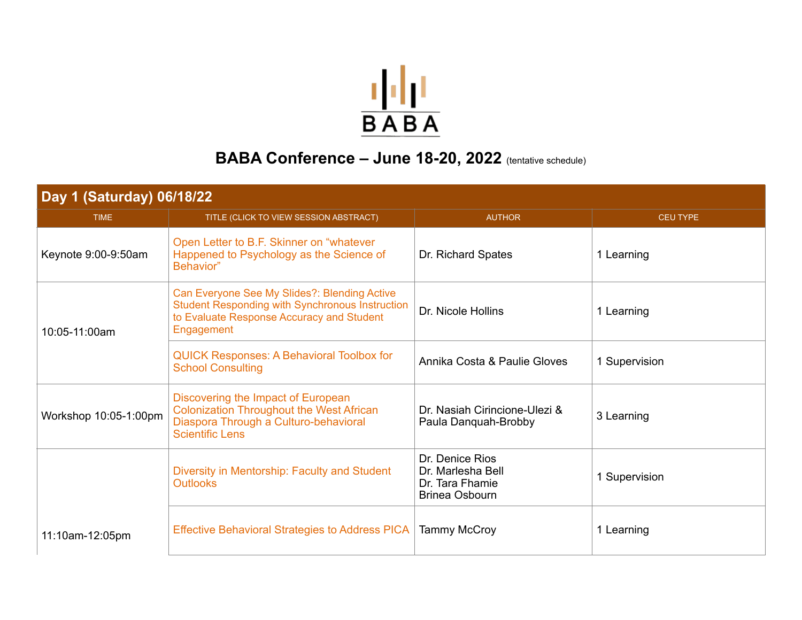

## BABA Conference - June 18-20, 2022 (tentative schedule)

| Day 1 (Saturday) 06/18/22 |                                                                                                                                                                   |                                                                                  |                 |
|---------------------------|-------------------------------------------------------------------------------------------------------------------------------------------------------------------|----------------------------------------------------------------------------------|-----------------|
| <b>TIME</b>               | TITLE (CLICK TO VIEW SESSION ABSTRACT)                                                                                                                            | <b>AUTHOR</b>                                                                    | <b>CEU TYPE</b> |
| Keynote 9:00-9:50am       | Open Letter to B.F. Skinner on "whatever"<br>Happened to Psychology as the Science of<br>Behavior"                                                                | Dr. Richard Spates                                                               | 1 Learning      |
| 10:05-11:00am             | Can Everyone See My Slides?: Blending Active<br><b>Student Responding with Synchronous Instruction</b><br>to Evaluate Response Accuracy and Student<br>Engagement | Dr. Nicole Hollins                                                               | 1 Learning      |
|                           | QUICK Responses: A Behavioral Toolbox for<br><b>School Consulting</b>                                                                                             | Annika Costa & Paulie Gloves                                                     | 1 Supervision   |
| Workshop 10:05-1:00pm     | Discovering the Impact of European<br><b>Colonization Throughout the West African</b><br>Diaspora Through a Culturo-behavioral<br><b>Scientific Lens</b>          | Dr. Nasiah Cirincione-Ulezi &<br>Paula Danguah-Brobby                            | 3 Learning      |
|                           | Diversity in Mentorship: Faculty and Student<br><b>Outlooks</b>                                                                                                   | Dr. Denice Rios<br>Dr. Marlesha Bell<br>Dr. Tara Fhamie<br><b>Brinea Osbourn</b> | 1 Supervision   |
| 11:10am-12:05pm           | <b>Effective Behavioral Strategies to Address PICA</b>                                                                                                            | <b>Tammy McCroy</b>                                                              | 1 Learning      |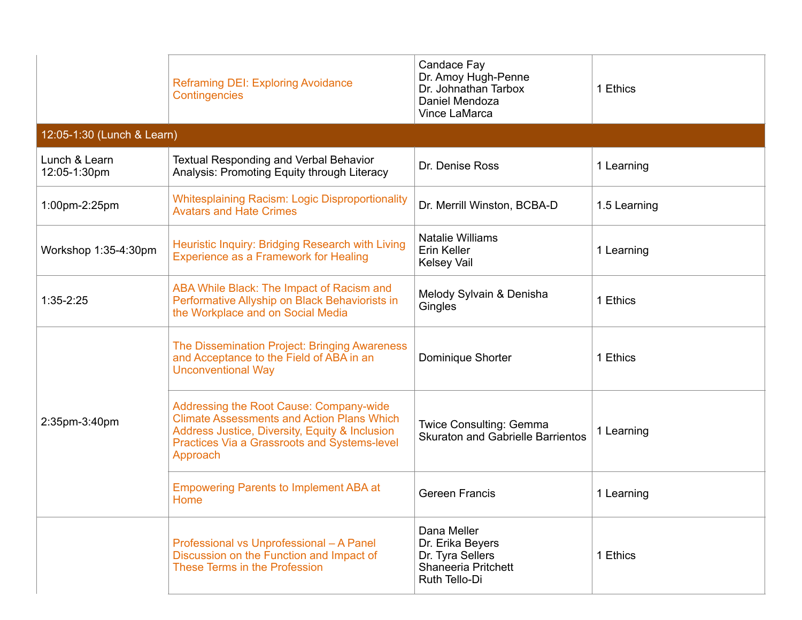|                               | <b>Reframing DEI: Exploring Avoidance</b><br>Contingencies                                                                                                                                                        | Candace Fay<br>Dr. Amoy Hugh-Penne<br>Dr. Johnathan Tarbox<br>Daniel Mendoza<br><b>Vince LaMarca</b> | 1 Ethics     |
|-------------------------------|-------------------------------------------------------------------------------------------------------------------------------------------------------------------------------------------------------------------|------------------------------------------------------------------------------------------------------|--------------|
| 12:05-1:30 (Lunch & Learn)    |                                                                                                                                                                                                                   |                                                                                                      |              |
| Lunch & Learn<br>12:05-1:30pm | <b>Textual Responding and Verbal Behavior</b><br>Analysis: Promoting Equity through Literacy                                                                                                                      | Dr. Denise Ross                                                                                      | 1 Learning   |
| 1:00pm-2:25pm                 | <b>Whitesplaining Racism: Logic Disproportionality</b><br><b>Avatars and Hate Crimes</b>                                                                                                                          | Dr. Merrill Winston, BCBA-D                                                                          | 1.5 Learning |
| Workshop 1:35-4:30pm          | Heuristic Inquiry: Bridging Research with Living<br><b>Experience as a Framework for Healing</b>                                                                                                                  | <b>Natalie Williams</b><br>Erin Keller<br><b>Kelsey Vail</b>                                         | 1 Learning   |
| $1:35-2:25$                   | ABA While Black: The Impact of Racism and<br>Performative Allyship on Black Behaviorists in<br>the Workplace and on Social Media                                                                                  | Melody Sylvain & Denisha<br>Gingles                                                                  | 1 Ethics     |
|                               | The Dissemination Project: Bringing Awareness<br>and Acceptance to the Field of ABA in an<br><b>Unconventional Way</b>                                                                                            | Dominique Shorter                                                                                    | 1 Ethics     |
| 2:35pm-3:40pm                 | <b>Addressing the Root Cause: Company-wide</b><br><b>Climate Assessments and Action Plans Which</b><br>Address Justice, Diversity, Equity & Inclusion<br>Practices Via a Grassroots and Systems-level<br>Approach | Twice Consulting: Gemma<br><b>Skuraton and Gabrielle Barrientos</b>                                  | 1 Learning   |
|                               | <b>Empowering Parents to Implement ABA at</b><br>Home                                                                                                                                                             | <b>Gereen Francis</b>                                                                                | 1 Learning   |
|                               | Professional vs Unprofessional - A Panel<br>Discussion on the Function and Impact of<br>These Terms in the Profession                                                                                             | Dana Meller<br>Dr. Erika Beyers<br>Dr. Tyra Sellers<br>Shaneeria Pritchett<br>Ruth Tello-Di          | 1 Ethics     |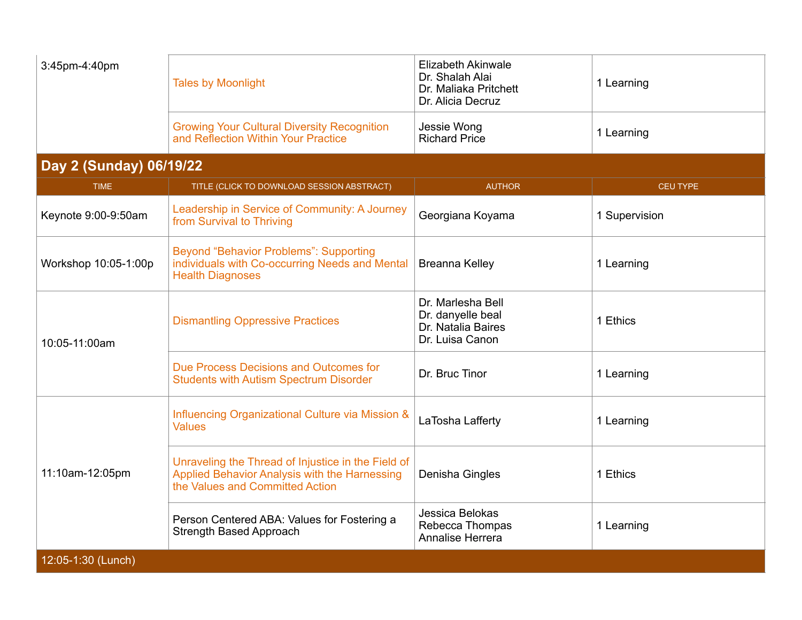| 3:45pm-4:40pm                                           | <b>Tales by Moonlight</b>                                                                 | Elizabeth Akinwale<br>Dr. Shalah Alai<br>Dr. Maliaka Pritchett<br>Dr. Alicia Decruz | l Learning |
|---------------------------------------------------------|-------------------------------------------------------------------------------------------|-------------------------------------------------------------------------------------|------------|
|                                                         | <b>Growing Your Cultural Diversity Recognition</b><br>and Reflection Within Your Practice | Jessie Wong<br><b>Richard Price</b>                                                 | 1 Learning |
| $\sim$ $\sim$ $\sim$ $\sim$ $\sim$ $\sim$ $\sim$ $\sim$ |                                                                                           |                                                                                     |            |

## **Day 2 (Sunday) 06/19/22**

| <b>TIME</b>          | TITLE (CLICK TO DOWNLOAD SESSION ABSTRACT)                                                                                             | <b>AUTHOR</b>                                                                   | <b>CEU TYPE</b> |
|----------------------|----------------------------------------------------------------------------------------------------------------------------------------|---------------------------------------------------------------------------------|-----------------|
| Keynote 9:00-9:50am  | Leadership in Service of Community: A Journey<br>from Survival to Thriving                                                             | Georgiana Koyama                                                                | 1 Supervision   |
| Workshop 10:05-1:00p | <b>Beyond "Behavior Problems": Supporting</b><br>individuals with Co-occurring Needs and Mental<br><b>Health Diagnoses</b>             | Breanna Kelley                                                                  | 1 Learning      |
| 10:05-11:00am        | <b>Dismantling Oppressive Practices</b>                                                                                                | Dr. Marlesha Bell<br>Dr. danyelle beal<br>Dr. Natalia Baires<br>Dr. Luisa Canon | 1 Ethics        |
|                      | Due Process Decisions and Outcomes for<br><b>Students with Autism Spectrum Disorder</b>                                                | Dr. Bruc Tinor                                                                  | 1 Learning      |
| 11:10am-12:05pm      | Influencing Organizational Culture via Mission &<br><b>Values</b>                                                                      | LaTosha Lafferty                                                                | 1 Learning      |
|                      | Unraveling the Thread of Injustice in the Field of<br>Applied Behavior Analysis with the Harnessing<br>the Values and Committed Action | Denisha Gingles                                                                 | 1 Ethics        |
|                      | Person Centered ABA: Values for Fostering a<br><b>Strength Based Approach</b>                                                          | Jessica Belokas<br>Rebecca Thompas<br><b>Annalise Herrera</b>                   | 1 Learning      |
| 12:05-1:30 (Lunch)   |                                                                                                                                        |                                                                                 |                 |